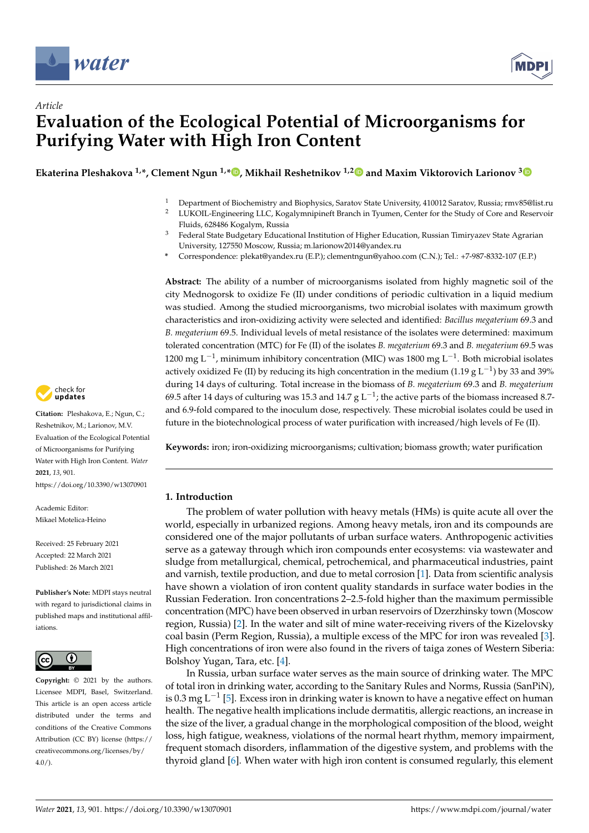

*Article*



# **Evaluation of the Ecological Potential of Microorganisms for Purifying Water with High Iron Content**

**Ekaterina Pleshakova 1,\*, Clement Ngun 1,\* [,](https://orcid.org/0000-0002-8969-1041) Mikhail Reshetnikov 1,[2](https://orcid.org/0000-0001-8298-029X) and Maxim Viktorovich Larionov [3](https://orcid.org/0000-0003-0834-2462)**

- <sup>1</sup> Department of Biochemistry and Biophysics, Saratov State University, 410012 Saratov, Russia; rmv85@list.ru<br><sup>2</sup> UKOU-Epsipeering U.C. Kosalympipipett Branch in Trumen, Center for the Study of Cere and Reservoir <sup>2</sup> LUKOIL-Engineering LLC, Kogalymnipineft Branch in Tyumen, Center for the Study of Core and Reservoir
	- Fluids, 628486 Kogalym, Russia
- <sup>3</sup> Federal State Budgetary Educational Institution of Higher Education, Russian Timiryazev State Agrarian University, 127550 Moscow, Russia; m.larionow2014@yandex.ru
- **\*** Correspondence: plekat@yandex.ru (E.P.); clementngun@yahoo.com (C.N.); Tel.: +7-987-8332-107 (E.P.)

**Abstract:** The ability of a number of microorganisms isolated from highly magnetic soil of the city Mednogorsk to oxidize Fe (II) under conditions of periodic cultivation in a liquid medium was studied. Among the studied microorganisms, two microbial isolates with maximum growth characteristics and iron-oxidizing activity were selected and identified: *Bacillus megaterium* 69.3 and *B. megaterium* 69.5. Individual levels of metal resistance of the isolates were determined: maximum tolerated concentration (MTC) for Fe (II) of the isolates *B. megaterium* 69.3 and *B. megaterium* 69.5 was 1200 mg L<sup>-1</sup>, minimum inhibitory concentration (MIC) was 1800 mg L<sup>-1</sup>. Both microbial isolates actively oxidized Fe (II) by reducing its high concentration in the medium (1.19 g L<sup>-1</sup>) by 33 and 39% during 14 days of culturing. Total increase in the biomass of *B. megaterium* 69.3 and *B. megaterium* 69.5 after 14 days of culturing was 15.3 and 14.7 g L<sup>-1</sup>; the active parts of the biomass increased 8.7and 6.9-fold compared to the inoculum dose, respectively. These microbial isolates could be used in future in the biotechnological process of water purification with increased/high levels of Fe (II).

**Keywords:** iron; iron-oxidizing microorganisms; cultivation; biomass growth; water purification

# **1. Introduction**

The problem of water pollution with heavy metals (HMs) is quite acute all over the world, especially in urbanized regions. Among heavy metals, iron and its compounds are considered one of the major pollutants of urban surface waters. Anthropogenic activities serve as a gateway through which iron compounds enter ecosystems: via wastewater and sludge from metallurgical, chemical, petrochemical, and pharmaceutical industries, paint and varnish, textile production, and due to metal corrosion [\[1\]](#page-8-0). Data from scientific analysis have shown a violation of iron content quality standards in surface water bodies in the Russian Federation. Iron concentrations 2–2.5-fold higher than the maximum permissible concentration (MPC) have been observed in urban reservoirs of Dzerzhinsky town (Moscow region, Russia) [\[2\]](#page-8-1). In the water and silt of mine water-receiving rivers of the Kizelovsky coal basin (Perm Region, Russia), a multiple excess of the MPC for iron was revealed [\[3\]](#page-8-2). High concentrations of iron were also found in the rivers of taiga zones of Western Siberia: Bolshoy Yugan, Tara, etc. [\[4\]](#page-8-3).

In Russia, urban surface water serves as the main source of drinking water. The MPC of total iron in drinking water, according to the Sanitary Rules and Norms, Russia (SanPiN), is 0.3 mg L<sup>-1</sup> [\[5\]](#page-9-0). Excess iron in drinking water is known to have a negative effect on human health. The negative health implications include dermatitis, allergic reactions, an increase in the size of the liver, a gradual change in the morphological composition of the blood, weight loss, high fatigue, weakness, violations of the normal heart rhythm, memory impairment, frequent stomach disorders, inflammation of the digestive system, and problems with the thyroid gland [\[6\]](#page-9-1). When water with high iron content is consumed regularly, this element



**Citation:** Pleshakova, E.; Ngun, C.; Reshetnikov, M.; Larionov, M.V. Evaluation of the Ecological Potential of Microorganisms for Purifying Water with High Iron Content. *Water* **2021**, *13*, 901. <https://doi.org/10.3390/w13070901>

Academic Editor: Mikael Motelica-Heino

Received: 25 February 2021 Accepted: 22 March 2021 Published: 26 March 2021

**Publisher's Note:** MDPI stays neutral with regard to jurisdictional claims in published maps and institutional affiliations.



**Copyright:** © 2021 by the authors. Licensee MDPI, Basel, Switzerland. This article is an open access article distributed under the terms and conditions of the Creative Commons Attribution (CC BY) license (https:/[/](https://creativecommons.org/licenses/by/4.0/) [creativecommons.org/licenses/by/](https://creativecommons.org/licenses/by/4.0/)  $4.0/$ ).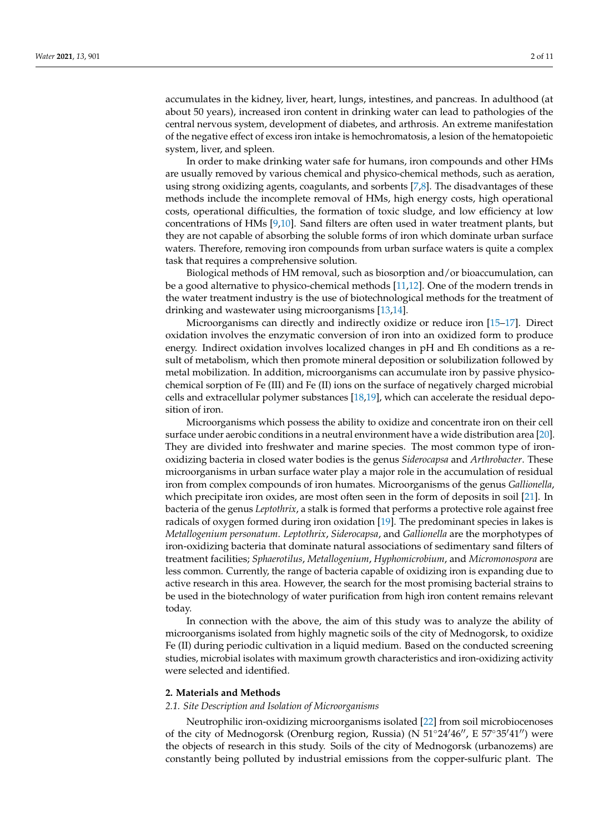accumulates in the kidney, liver, heart, lungs, intestines, and pancreas. In adulthood (at about 50 years), increased iron content in drinking water can lead to pathologies of the central nervous system, development of diabetes, and arthrosis. An extreme manifestation of the negative effect of excess iron intake is hemochromatosis, a lesion of the hematopoietic system, liver, and spleen.

In order to make drinking water safe for humans, iron compounds and other HMs are usually removed by various chemical and physico-chemical methods, such as aeration, using strong oxidizing agents, coagulants, and sorbents [\[7,](#page-9-2)[8\]](#page-9-3). The disadvantages of these methods include the incomplete removal of HMs, high energy costs, high operational costs, operational difficulties, the formation of toxic sludge, and low efficiency at low concentrations of HMs [\[9,](#page-9-4)[10\]](#page-9-5). Sand filters are often used in water treatment plants, but they are not capable of absorbing the soluble forms of iron which dominate urban surface waters. Therefore, removing iron compounds from urban surface waters is quite a complex task that requires a comprehensive solution.

Biological methods of HM removal, such as biosorption and/or bioaccumulation, can be a good alternative to physico-chemical methods [\[11](#page-9-6)[,12\]](#page-9-7). One of the modern trends in the water treatment industry is the use of biotechnological methods for the treatment of drinking and wastewater using microorganisms [\[13,](#page-9-8)[14\]](#page-9-9).

Microorganisms can directly and indirectly oxidize or reduce iron [\[15–](#page-9-10)[17\]](#page-9-11). Direct oxidation involves the enzymatic conversion of iron into an oxidized form to produce energy. Indirect oxidation involves localized changes in pH and Eh conditions as a result of metabolism, which then promote mineral deposition or solubilization followed by metal mobilization. In addition, microorganisms can accumulate iron by passive physicochemical sorption of Fe (III) and Fe (II) ions on the surface of negatively charged microbial cells and extracellular polymer substances [\[18](#page-9-12)[,19\]](#page-9-13), which can accelerate the residual deposition of iron.

Microorganisms which possess the ability to oxidize and concentrate iron on their cell surface under aerobic conditions in a neutral environment have a wide distribution area [\[20\]](#page-9-14). They are divided into freshwater and marine species. The most common type of ironoxidizing bacteria in closed water bodies is the genus *Siderocapsa* and *Arthrobacter*. These microorganisms in urban surface water play a major role in the accumulation of residual iron from complex compounds of iron humates. Microorganisms of the genus *Gallionella*, which precipitate iron oxides, are most often seen in the form of deposits in soil [\[21\]](#page-9-15). In bacteria of the genus *Leptothrix*, a stalk is formed that performs a protective role against free radicals of oxygen formed during iron oxidation [\[19\]](#page-9-13). The predominant species in lakes is *Metallogenium personatum*. *Leptothrix*, *Siderocapsa*, and *Gallionella* are the morphotypes of iron-oxidizing bacteria that dominate natural associations of sedimentary sand filters of treatment facilities; *Sphaerotilus*, *Metallogenium*, *Hyphomicrobium*, and *Micromonospora* are less common. Currently, the range of bacteria capable of oxidizing iron is expanding due to active research in this area. However, the search for the most promising bacterial strains to be used in the biotechnology of water purification from high iron content remains relevant today.

In connection with the above, the aim of this study was to analyze the ability of microorganisms isolated from highly magnetic soils of the city of Mednogorsk, to oxidize Fe (II) during periodic cultivation in a liquid medium. Based on the conducted screening studies, microbial isolates with maximum growth characteristics and iron-oxidizing activity were selected and identified.

#### **2. Materials and Methods**

#### *2.1. Site Description and Isolation of Microorganisms*

Neutrophilic iron-oxidizing microorganisms isolated [\[22\]](#page-9-16) from soil microbiocenoses of the city of Mednogorsk (Orenburg region, Russia) (N  $51^{\circ}24'46''$ , E  $57^{\circ}35'41''$ ) were the objects of research in this study. Soils of the city of Mednogorsk (urbanozems) are constantly being polluted by industrial emissions from the copper-sulfuric plant. The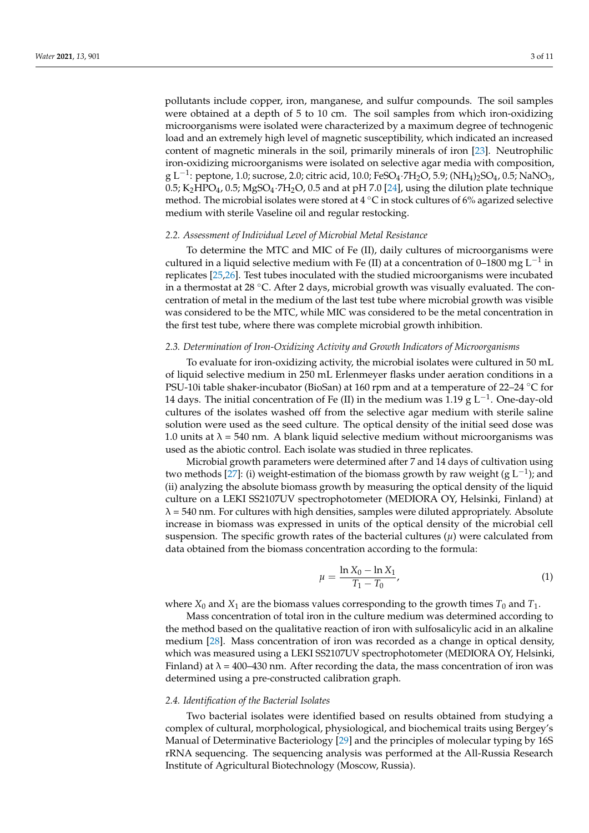pollutants include copper, iron, manganese, and sulfur compounds. The soil samples were obtained at a depth of 5 to 10 cm. The soil samples from which iron-oxidizing microorganisms were isolated were characterized by a maximum degree of technogenic load and an extremely high level of magnetic susceptibility, which indicated an increased content of magnetic minerals in the soil, primarily minerals of iron [\[23\]](#page-9-17). Neutrophilic iron-oxidizing microorganisms were isolated on selective agar media with composition, g L<sup>-1</sup>: peptone, 1.0; sucrose, 2.0; citric acid, 10.0; FeSO<sub>4</sub>·7H<sub>2</sub>O, 5.9; (NH<sub>4</sub>)<sub>2</sub>SO<sub>4</sub>, 0.5; NaNO<sub>3</sub>, 0.5;  $K_2HPO_4$ , 0.5;  $MgSO_4 \cdot 7H_2O$ , 0.5 and at pH 7.0 [\[24\]](#page-9-18), using the dilution plate technique method. The microbial isolates were stored at 4 ◦C in stock cultures of 6% agarized selective medium with sterile Vaseline oil and regular restocking.

# *2.2. Assessment of Individual Level of Microbial Metal Resistance*

To determine the MTC and MIC of Fe (II), daily cultures of microorganisms were cultured in a liquid selective medium with Fe (II) at a concentration of 0–1800 mg  $\mathrm{L}^{-1}$  in replicates [\[25,](#page-9-19)[26\]](#page-9-20). Test tubes inoculated with the studied microorganisms were incubated in a thermostat at 28 °C. After 2 days, microbial growth was visually evaluated. The concentration of metal in the medium of the last test tube where microbial growth was visible was considered to be the MTC, while MIC was considered to be the metal concentration in the first test tube, where there was complete microbial growth inhibition.

# *2.3. Determination of Iron-Oxidizing Activity and Growth Indicators of Microorganisms*

To evaluate for iron-oxidizing activity, the microbial isolates were cultured in 50 mL of liquid selective medium in 250 mL Erlenmeyer flasks under aeration conditions in a PSU-10i table shaker-incubator (BioSan) at 160 rpm and at a temperature of 22–24 ◦C for 14 days. The initial concentration of Fe (II) in the medium was 1.19 g L<sup>-1</sup>. One-day-old cultures of the isolates washed off from the selective agar medium with sterile saline solution were used as the seed culture. The optical density of the initial seed dose was 1.0 units at  $\lambda$  = 540 nm. A blank liquid selective medium without microorganisms was used as the abiotic control. Each isolate was studied in three replicates.

Microbial growth parameters were determined after 7 and 14 days of cultivation using two methods [\[27\]](#page-9-21): (i) weight-estimation of the biomass growth by raw weight (g  $L^{-1}$ ); and (ii) analyzing the absolute biomass growth by measuring the optical density of the liquid culture on a LEKI SS2107UV spectrophotometer (MEDIORA OY, Helsinki, Finland) at  $\lambda$  = 540 nm. For cultures with high densities, samples were diluted appropriately. Absolute increase in biomass was expressed in units of the optical density of the microbial cell suspension. The specific growth rates of the bacterial cultures  $(\mu)$  were calculated from data obtained from the biomass concentration according to the formula:

$$
\mu = \frac{\ln X_0 - \ln X_1}{T_1 - T_0},\tag{1}
$$

where  $X_0$  and  $X_1$  are the biomass values corresponding to the growth times  $T_0$  and  $T_1$ .

Mass concentration of total iron in the culture medium was determined according to the method based on the qualitative reaction of iron with sulfosalicylic acid in an alkaline medium [\[28\]](#page-9-22). Mass concentration of iron was recorded as a change in optical density, which was measured using a LEKI SS2107UV spectrophotometer (MEDIORA OY, Helsinki, Finland) at  $\lambda = 400-430$  nm. After recording the data, the mass concentration of iron was determined using a pre-constructed calibration graph.

#### *2.4. Identification of the Bacterial Isolates*

Two bacterial isolates were identified based on results obtained from studying a complex of cultural, morphological, physiological, and biochemical traits using Bergey's Manual of Determinative Bacteriology [\[29\]](#page-9-23) and the principles of molecular typing by 16S rRNA sequencing. The sequencing analysis was performed at the All-Russia Research Institute of Agricultural Biotechnology (Moscow, Russia).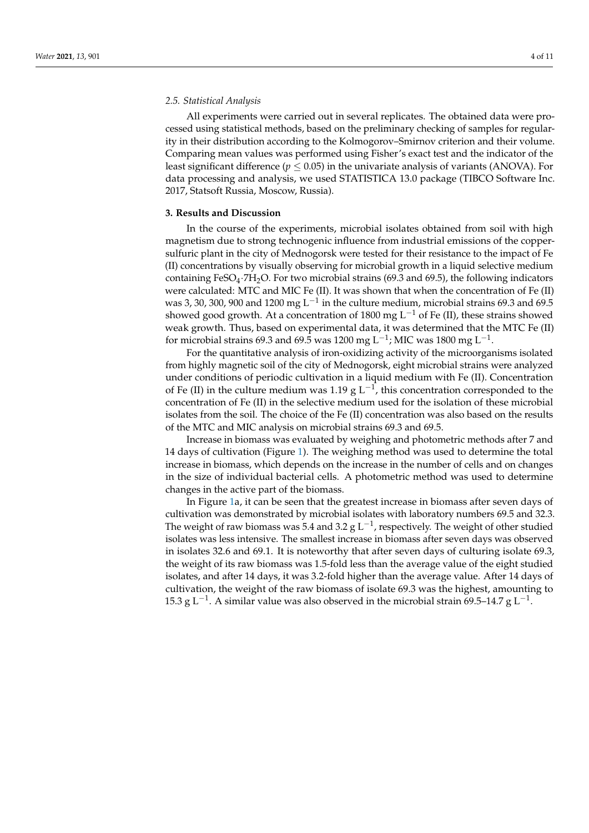#### *2.5. Statistical Analysis*

All experiments were carried out in several replicates. The obtained data were processed using statistical methods, based on the preliminary checking of samples for regularity in their distribution according to the Kolmogorov–Smirnov criterion and their volume. Comparing mean values was performed using Fisher's exact test and the indicator of the least significant difference ( $p \leq 0.05$ ) in the univariate analysis of variants (ANOVA). For data processing and analysis, we used STATISTICA 13.0 package (TIBCO Software Inc. 2017, Statsoft Russia, Moscow, Russia).

# **3. Results and Discussion**

In the course of the experiments, microbial isolates obtained from soil with high magnetism due to strong technogenic influence from industrial emissions of the coppersulfuric plant in the city of Mednogorsk were tested for their resistance to the impact of Fe (II) concentrations by visually observing for microbial growth in a liquid selective medium containing FeSO<sub>4</sub>·7H<sub>2</sub>O. For two microbial strains (69.3 and 69.5), the following indicators were calculated: MTC and MIC Fe (II). It was shown that when the concentration of Fe (II) was 3, 30, 300, 900 and 1200 mg  $\mathrm{L}^{-1}$  in the culture medium, microbial strains 69.3 and 69.5 showed good growth. At a concentration of 1800 mg  $L^{-1}$  of Fe (II), these strains showed weak growth. Thus, based on experimental data, it was determined that the MTC Fe (II) for microbial strains 69.3 and 69.5 was 1200 mg L $^{-1}$ ; MIC was 1800 mg L $^{-1}$ .

For the quantitative analysis of iron-oxidizing activity of the microorganisms isolated from highly magnetic soil of the city of Mednogorsk, eight microbial strains were analyzed under conditions of periodic cultivation in a liquid medium with Fe (II). Concentration of Fe (II) in the culture medium was 1.19 g L<sup>-1</sup>, this concentration corresponded to the concentration of Fe (II) in the selective medium used for the isolation of these microbial isolates from the soil. The choice of the Fe (II) concentration was also based on the results of the MTC and MIC analysis on microbial strains 69.3 and 69.5.

Increase in biomass was evaluated by weighing and photometric methods after 7 and 14 days of cultivation (Figure [1\)](#page-4-0). The weighing method was used to determine the total increase in biomass, which depends on the increase in the number of cells and on changes in the size of individual bacterial cells. A photometric method was used to determine changes in the active part of the biomass.

In Figure [1a](#page-4-0), it can be seen that the greatest increase in biomass after seven days of cultivation was demonstrated by microbial isolates with laboratory numbers 69.5 and 32.3. The weight of raw biomass was 5.4 and 3.2 g L<sup>-1</sup>, respectively. The weight of other studied isolates was less intensive. The smallest increase in biomass after seven days was observed in isolates 32.6 and 69.1. It is noteworthy that after seven days of culturing isolate 69.3, the weight of its raw biomass was 1.5-fold less than the average value of the eight studied isolates, and after 14 days, it was 3.2-fold higher than the average value. After 14 days of cultivation, the weight of the raw biomass of isolate 69.3 was the highest, amounting to 15.3 g L<sup>-1</sup>. A similar value was also observed in the microbial strain 69.5–14.7 g L<sup>-1</sup>.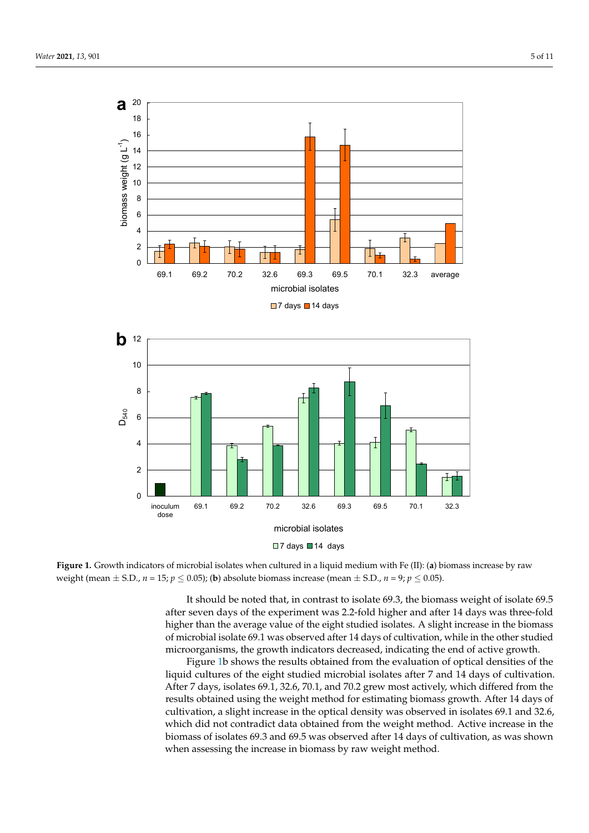<span id="page-4-0"></span>



**Figure 1.** Growth indicators of microbial isolates when cultured in a liquid medium with Fe (II): (**a**) biomass increase by raw weight (mean  $\pm$  S.D.,  $n$  = 15;  $p \leq 0.05$ ); (b) absolute biomass increase (mean  $\pm$  S.D.,  $n$  = 9;  $p \leq 0.05$ ).

after seven days of the experiment was 2.2-fold higher and after 14 days was three-fold higher than the average value of the eight studied isolates. A slight increase in the biomass of microbial isolate 69.1 was observed after 14 days of cultivation, while in the other studied microorganisms, the growth indicators decreased, indicating the end of active growth. It should be noted that, in contrast to isolate 69.3, the biomass weight of isolate 69.5

Figure 1b shows the results obtained from the evaluation of optical densities of the liquid cultures of the eight studied microbial isolates after 7 and 14 days of cultivation. After 7 days, isolates 69.1, 32.6, 70.1, and 70.2 grew most actively, which differed from the results obtained using the weight method for estimating biomass growth. After 14 days of cultivation, a slight increase in the optical density was observed in isolates 69.1 and 32.6, which did not contradict data obtained from the weight method. Active increase in the biomass of isolates 69.3 and 69.5 was observed after 14 days of cultivation, as was shown when assessing the increase in biomass by raw weight method.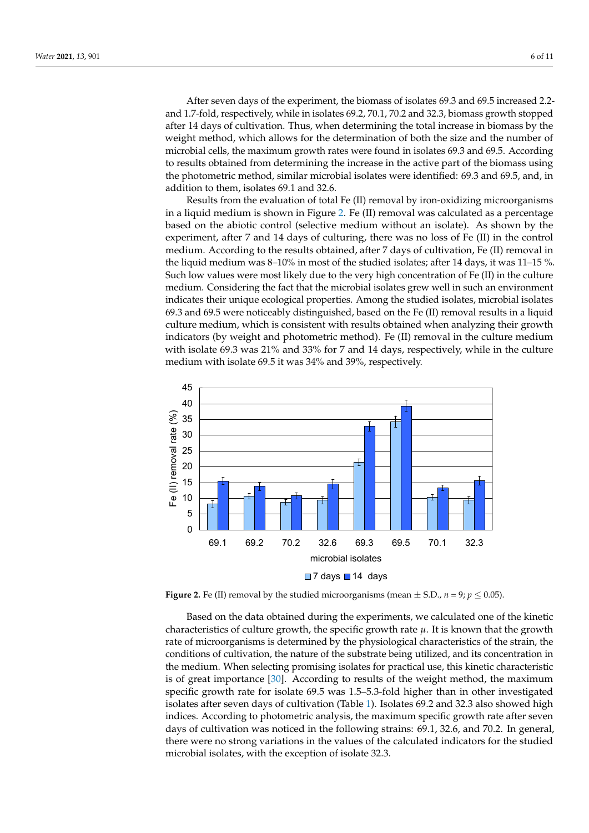After seven days of the experiment, the biomass of isolates 69.3 and 69.5 increased 2.2and 1.7-fold, respectively, while in isolates 69.2, 70.1, 70.2 and 32.3, biomass growth stopped after 14 days of cultivation. Thus, when determining the total increase in biomass by the weight method, which allows for the determination of both the size and the number of microbial cells, the maximum growth rates were found in isolates 69.3 and 69.5. According to results obtained from determining the increase in the active part of the biomass using the photometric method, similar microbial is of the photometric method, similar microbial is of the photometric method. the photometric method, similar microbial isolates were identified: 69.3 and 69.5, and, in addition to them, isolates 69.1 and 32.6.  $R_{\text{E}}$  and  $R_{\text{E}}$  from the evaluation of total Fe ( $\overline{R}$ ) removal by independent micro-oxidizing microorganisms microorganisms microorganisms microorganisms microorganisms microorganisms microorganisms microorgan

Results from the evaluation of total Fe (II) removal by iron-oxidizing microorganisms in a liquid medium is shown in Figure [2.](#page-5-0) Fe (II) removal was calculated as a percentage based on the abiotic control (selective medium without an isolate). As shown by the  $\overline{S}$ experiment, after 7 and 14 days of culturing, there was no loss of Fe (II) in the control medium. According to the results obtained, after 7 days of cultivation, Fe (II) removal in<br>d was 11–15 %. the liquid medium was 8–10% in most of the studied isolates; after 14 days, it was 11–15 %. Such low values were most likely due to the very high concentration of Fe (II) in the culture medium. Considering the fact that the microbial isolates grew well in such an environment indicates their unique ecological properties. Among the studied isolates, microbial isolates 69.3 and 69.5 were noticeably distinguished, based on the Fe (II) removal results in a liquid sulture medium, which is consistent with results obtained when analyzing their growth indicators (by weight and photometric method). Fe (II) removal in the culture medium with isolate 69.3 was 21% and 33% for 7 and 14 days, respectively, while in the culture medium with isolate 69.5 it was 34% and 39%, respectively.  $\frac{1}{2}$  in a liquid medium is shown in Figure 2. Fe (II) removal by non-oxidizing incroorganisms  $\tau$  turn constant ture medium. Considering the fact that the microbial isolates grew well in such an environment

<span id="page-5-0"></span>

**Figure 2.** Fe (II) removal by the studied microorganisms (mean  $\pm$  S.D., *n* = 9; *p*  $\leq$  0.05).

Based on the data obtained during the experiments, we calculated one of the kinetic Based on the data obtained during the experiments, we calculated one of the kinetic characteristics of culture growth, the specific growth rate *µ*. It is known that the growth characteristics of culture growth, the specific growth rate *µ*. It is known that the growth rate of microorganisms is determined by the physiological characteristics of the strain, the physiological characteristics of the strain, the conditions of cultivation, the nature of the substrate being utilized, and its concentration the medium. When selecting promising isolates for practical use, this kinetic characteristic<br>the medium of the medium. This characteristic specific growth rate for isolate 69.5 was 1.5–5.3-fold higher than in other investigated isolates after seven days of cultivation (Table [1\)](#page-6-0). Isolates 69.2 and 32.3 also showed high indices. According to photometric analysis, the maximum specific growth rate after seven days of cultivation was noticed in the following strains: 69.1, 32.6, and 70.2. In general, days of cultivation was noticed in the following strains: 69.1, 32.6, and 70.2. In general, there were no strong variations in the values of the calculated indicators for the studied microbial isolates, with the exception of isolate 32.3.  $m_{\rm F}$  is obtained is exception of  $\frac{1}{2}$ . conditions of cultivation, the nature of the substrate being utilized, and its concentration in is of great importance [\[30\]](#page-9-24). According to results of the weight method, the maximum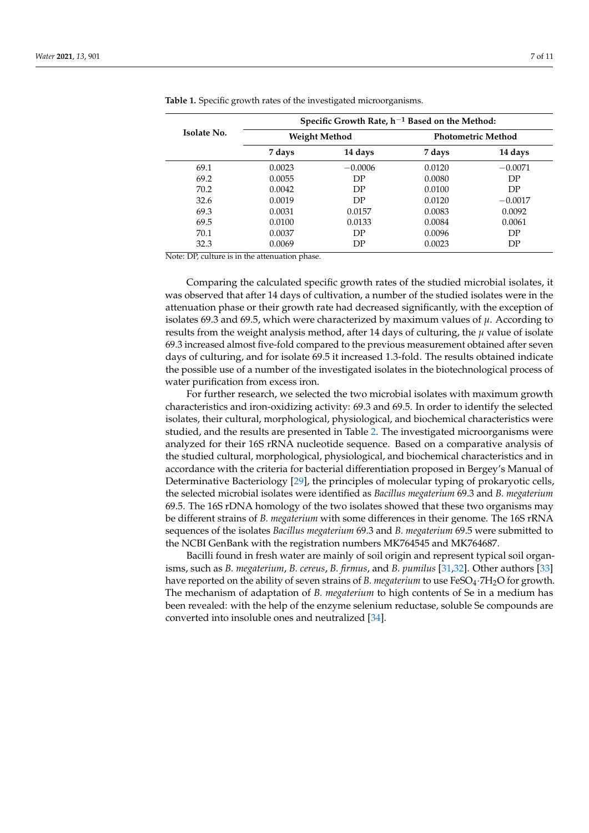|             | Specific Growth Rate, $h^{-1}$ Based on the Method: |           |                           |           |
|-------------|-----------------------------------------------------|-----------|---------------------------|-----------|
| Isolate No. | <b>Weight Method</b>                                |           | <b>Photometric Method</b> |           |
|             | 7 days                                              | 14 days   | 7 days                    | 14 days   |
| 69.1        | 0.0023                                              | $-0.0006$ | 0.0120                    | $-0.0071$ |
| 69.2        | 0.0055                                              | DP        | 0.0080                    | DP        |
| 70.2        | 0.0042                                              | DP        | 0.0100                    | DP        |
| 32.6        | 0.0019                                              | DP        | 0.0120                    | $-0.0017$ |
| 69.3        | 0.0031                                              | 0.0157    | 0.0083                    | 0.0092    |
| 69.5        | 0.0100                                              | 0.0133    | 0.0084                    | 0.0061    |
| 70.1        | 0.0037                                              | DP        | 0.0096                    | DP        |
| 32.3        | 0.0069                                              | DP        | 0.0023                    | DP        |

<span id="page-6-0"></span>**Table 1.** Specific growth rates of the investigated microorganisms.

Note: DP, culture is in the attenuation phase.

Comparing the calculated specific growth rates of the studied microbial isolates, it was observed that after 14 days of cultivation, a number of the studied isolates were in the attenuation phase or their growth rate had decreased significantly, with the exception of isolates 69.3 and 69.5, which were characterized by maximum values of  $\mu$ . According to results from the weight analysis method, after 14 days of culturing, the *µ* value of isolate 69.3 increased almost five-fold compared to the previous measurement obtained after seven days of culturing, and for isolate 69.5 it increased 1.3-fold. The results obtained indicate the possible use of a number of the investigated isolates in the biotechnological process of water purification from excess iron.

For further research, we selected the two microbial isolates with maximum growth characteristics and iron-oxidizing activity: 69.3 and 69.5. In order to identify the selected isolates, their cultural, morphological, physiological, and biochemical characteristics were studied, and the results are presented in Table [2.](#page-7-0) The investigated microorganisms were analyzed for their 16S rRNA nucleotide sequence. Based on a comparative analysis of the studied cultural, morphological, physiological, and biochemical characteristics and in accordance with the criteria for bacterial differentiation proposed in Bergey's Manual of Determinative Bacteriology [\[29\]](#page-9-23), the principles of molecular typing of prokaryotic cells, the selected microbial isolates were identified as *Bacillus megaterium* 69.3 and *B. megaterium* 69.5. The 16S rDNA homology of the two isolates showed that these two organisms may be different strains of *B. megaterium* with some differences in their genome. The 16S rRNA sequences of the isolates *Bacillus megaterium* 69.3 and *B. megaterium* 69.5 were submitted to the NCBI GenBank with the registration numbers MK764545 and MK764687.

Bacilli found in fresh water are mainly of soil origin and represent typical soil organisms, such as *B. megaterium*, *B. cereus*, *B. firmus*, and *B. pumilus* [\[31](#page-9-25)[,32\]](#page-9-26). Other authors [\[33\]](#page-9-27) have reported on the ability of seven strains of *B. megaterium* to use FeSO<sub>4</sub>·7H<sub>2</sub>O for growth. The mechanism of adaptation of *B. megaterium* to high contents of Se in a medium has been revealed: with the help of the enzyme selenium reductase, soluble Se compounds are converted into insoluble ones and neutralized [\[34\]](#page-10-0).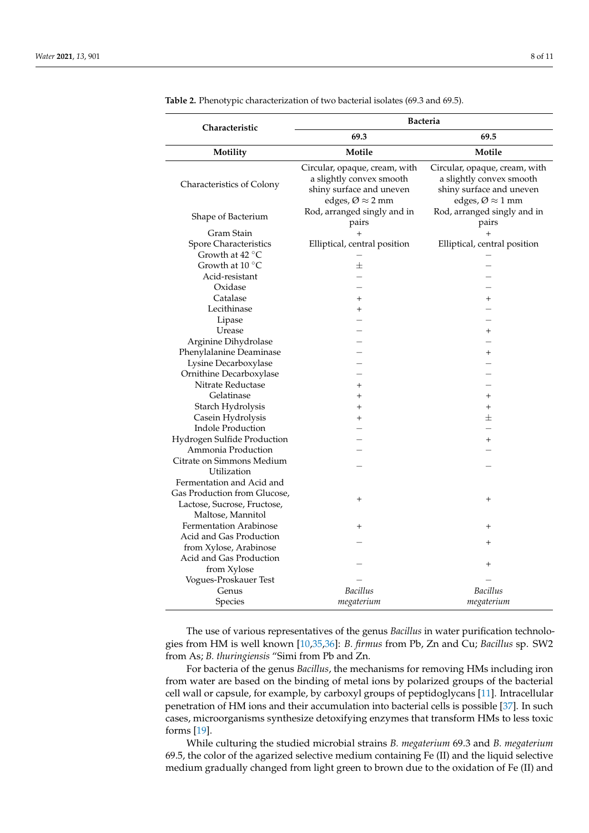| Characteristic                | <b>Bacteria</b>                                                                                                            |                                                                                                                            |  |  |
|-------------------------------|----------------------------------------------------------------------------------------------------------------------------|----------------------------------------------------------------------------------------------------------------------------|--|--|
|                               | 69.3                                                                                                                       | 69.5                                                                                                                       |  |  |
| Motility                      | Motile                                                                                                                     | Motile                                                                                                                     |  |  |
| Characteristics of Colony     | Circular, opaque, cream, with<br>a slightly convex smooth<br>shiny surface and uneven<br>edges, $\varnothing \approx 2$ mm | Circular, opaque, cream, with<br>a slightly convex smooth<br>shiny surface and uneven<br>edges, $\varnothing \approx 1$ mm |  |  |
| Shape of Bacterium            | Rod, arranged singly and in<br>pairs                                                                                       | Rod, arranged singly and in<br>pairs                                                                                       |  |  |
| Gram Stain                    | $^{+}$                                                                                                                     | $^{+}$                                                                                                                     |  |  |
| Spore Characteristics         | Elliptical, central position                                                                                               | Elliptical, central position                                                                                               |  |  |
| Growth at $42^{\circ}$ C      |                                                                                                                            |                                                                                                                            |  |  |
| Growth at $10^{\circ}$ C      | $\pm$                                                                                                                      |                                                                                                                            |  |  |
| Acid-resistant                |                                                                                                                            |                                                                                                                            |  |  |
| Oxidase                       |                                                                                                                            |                                                                                                                            |  |  |
| Catalase                      | $^{+}$                                                                                                                     | $\ddot{}$                                                                                                                  |  |  |
| Lecithinase                   | $^{+}$                                                                                                                     |                                                                                                                            |  |  |
| Lipase                        |                                                                                                                            |                                                                                                                            |  |  |
| Urease                        |                                                                                                                            | $\,{}^+$                                                                                                                   |  |  |
| Arginine Dihydrolase          |                                                                                                                            |                                                                                                                            |  |  |
| Phenylalanine Deaminase       |                                                                                                                            | $^{+}$                                                                                                                     |  |  |
| Lysine Decarboxylase          |                                                                                                                            |                                                                                                                            |  |  |
| Ornithine Decarboxylase       |                                                                                                                            |                                                                                                                            |  |  |
| Nitrate Reductase             | $+$                                                                                                                        |                                                                                                                            |  |  |
| Gelatinase                    | $^{+}$                                                                                                                     | $^{+}$                                                                                                                     |  |  |
| Starch Hydrolysis             | $^{+}$                                                                                                                     | $^{+}$                                                                                                                     |  |  |
| Casein Hydrolysis             | $^{+}$                                                                                                                     | 士                                                                                                                          |  |  |
| <b>Indole Production</b>      |                                                                                                                            |                                                                                                                            |  |  |
| Hydrogen Sulfide Production   |                                                                                                                            | $^{\mathrm{+}}$                                                                                                            |  |  |
| Ammonia Production            |                                                                                                                            |                                                                                                                            |  |  |
| Citrate on Simmons Medium     |                                                                                                                            |                                                                                                                            |  |  |
| Utilization                   |                                                                                                                            |                                                                                                                            |  |  |
| Fermentation and Acid and     |                                                                                                                            |                                                                                                                            |  |  |
| Gas Production from Glucose,  | $^{+}$                                                                                                                     | $^{+}$                                                                                                                     |  |  |
| Lactose, Sucrose, Fructose,   |                                                                                                                            |                                                                                                                            |  |  |
| Maltose, Mannitol             |                                                                                                                            |                                                                                                                            |  |  |
| <b>Fermentation Arabinose</b> | $^{+}$                                                                                                                     | $^+$                                                                                                                       |  |  |
| Acid and Gas Production       |                                                                                                                            | $^+$                                                                                                                       |  |  |
| from Xylose, Arabinose        |                                                                                                                            |                                                                                                                            |  |  |
| Acid and Gas Production       |                                                                                                                            | $\overline{+}$                                                                                                             |  |  |
| from Xylose                   |                                                                                                                            |                                                                                                                            |  |  |
| Vogues-Proskauer Test         |                                                                                                                            |                                                                                                                            |  |  |
| Genus                         | Bacillus                                                                                                                   | <b>Bacillus</b>                                                                                                            |  |  |
| Species                       | megaterium                                                                                                                 | megaterium                                                                                                                 |  |  |

<span id="page-7-0"></span>**Table 2.** Phenotypic characterization of two bacterial isolates (69.3 and 69.5).

The use of various representatives of the genus *Bacillus* in water purification technologies from HM is well known [\[10](#page-9-5)[,35](#page-10-1)[,36\]](#page-10-2): *B. firmus* from Pb, Zn and Cu; *Bacillus* sp. SW2 from As; *B. thuringiensis* "Simi from Pb and Zn.

For bacteria of the genus *Bacillus*, the mechanisms for removing HMs including iron from water are based on the binding of metal ions by polarized groups of the bacterial cell wall or capsule, for example, by carboxyl groups of peptidoglycans [\[11\]](#page-9-6). Intracellular penetration of HM ions and their accumulation into bacterial cells is possible [\[37\]](#page-10-3). In such cases, microorganisms synthesize detoxifying enzymes that transform HMs to less toxic forms [\[19\]](#page-9-13).

While culturing the studied microbial strains *B. megaterium* 69.3 and *B. megaterium* 69.5, the color of the agarized selective medium containing Fe (II) and the liquid selective medium gradually changed from light green to brown due to the oxidation of Fe (II) and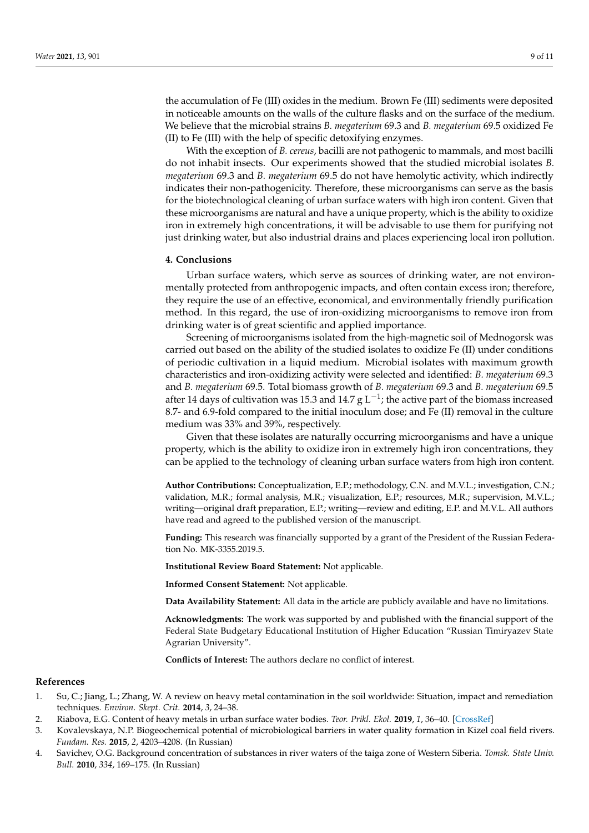the accumulation of Fe (III) oxides in the medium. Brown Fe (III) sediments were deposited in noticeable amounts on the walls of the culture flasks and on the surface of the medium. We believe that the microbial strains *B. megaterium* 69.3 and *B. megaterium* 69.5 oxidized Fe (II) to Fe (III) with the help of specific detoxifying enzymes.

With the exception of *B. cereus*, bacilli are not pathogenic to mammals, and most bacilli do not inhabit insects. Our experiments showed that the studied microbial isolates *B. megaterium* 69.3 and *B. megaterium* 69.5 do not have hemolytic activity, which indirectly indicates their non-pathogenicity. Therefore, these microorganisms can serve as the basis for the biotechnological cleaning of urban surface waters with high iron content. Given that these microorganisms are natural and have a unique property, which is the ability to oxidize iron in extremely high concentrations, it will be advisable to use them for purifying not just drinking water, but also industrial drains and places experiencing local iron pollution.

#### **4. Conclusions**

Urban surface waters, which serve as sources of drinking water, are not environmentally protected from anthropogenic impacts, and often contain excess iron; therefore, they require the use of an effective, economical, and environmentally friendly purification method. In this regard, the use of iron-oxidizing microorganisms to remove iron from drinking water is of great scientific and applied importance.

Screening of microorganisms isolated from the high-magnetic soil of Mednogorsk was carried out based on the ability of the studied isolates to oxidize Fe (II) under conditions of periodic cultivation in a liquid medium. Microbial isolates with maximum growth characteristics and iron-oxidizing activity were selected and identified: *B. megaterium* 69.3 and *B. megaterium* 69.5. Total biomass growth of *B. megaterium* 69.3 and *B. megaterium* 69.5 after 14 days of cultivation was 15.3 and 14.7 g L<sup>-1</sup>; the active part of the biomass increased 8.7- and 6.9-fold compared to the initial inoculum dose; and Fe (II) removal in the culture medium was 33% and 39%, respectively.

Given that these isolates are naturally occurring microorganisms and have a unique property, which is the ability to oxidize iron in extremely high iron concentrations, they can be applied to the technology of cleaning urban surface waters from high iron content.

**Author Contributions:** Conceptualization, E.P.; methodology, C.N. and M.V.L.; investigation, C.N.; validation, M.R.; formal analysis, M.R.; visualization, E.P.; resources, M.R.; supervision, M.V.L.; writing—original draft preparation, E.P.; writing—review and editing, E.P. and M.V.L. All authors have read and agreed to the published version of the manuscript.

**Funding:** This research was financially supported by a grant of the President of the Russian Federation No. MK-3355.2019.5.

**Institutional Review Board Statement:** Not applicable.

**Informed Consent Statement:** Not applicable.

**Data Availability Statement:** All data in the article are publicly available and have no limitations.

**Acknowledgments:** The work was supported by and published with the financial support of the Federal State Budgetary Educational Institution of Higher Education "Russian Timiryazev State Agrarian University".

**Conflicts of Interest:** The authors declare no conflict of interest.

#### **References**

- <span id="page-8-0"></span>1. Su, C.; Jiang, L.; Zhang, W. A review on heavy metal contamination in the soil worldwide: Situation, impact and remediation techniques. *Environ. Skept. Crit.* **2014**, *3*, 24–38.
- <span id="page-8-1"></span>2. Riabova, E.G. Content of heavy metals in urban surface water bodies. *Teor. Prikl. Ekol.* **2019**, *1*, 36–40. [\[CrossRef\]](http://doi.org/10.25750/1995-4301-2019-1-036-040)
- <span id="page-8-2"></span>3. Kovalevskaya, N.P. Biogeochemical potential of microbiological barriers in water quality formation in Kizel coal field rivers. *Fundam. Res.* **2015**, *2*, 4203–4208. (In Russian)
- <span id="page-8-3"></span>4. Savichev, O.G. Background concentration of substances in river waters of the taiga zone of Western Siberia. *Tomsk. State Univ. Bull.* **2010**, *334*, 169–175. (In Russian)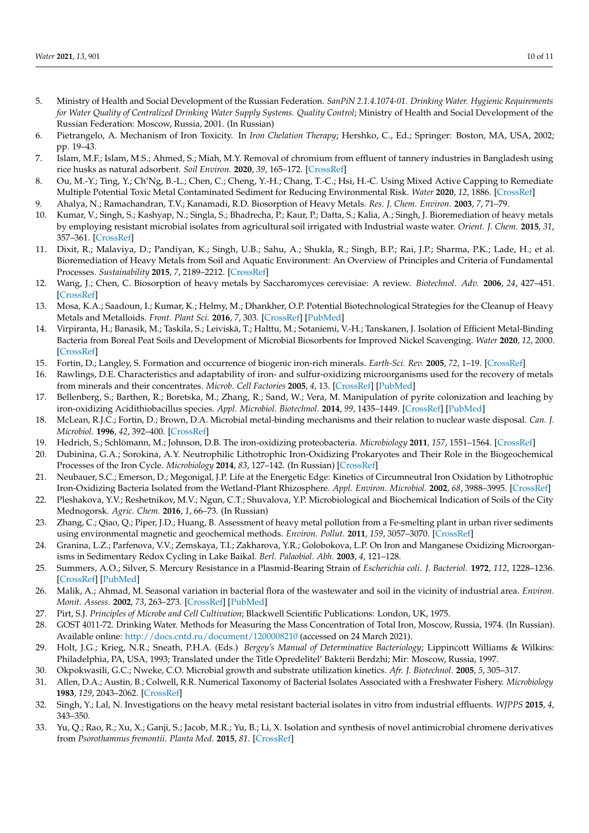- <span id="page-9-0"></span>5. Ministry of Health and Social Development of the Russian Federation. *SanPiN 2.1.4.1074-01. Drinking Water. Hygienic Requirements* for Water Quality of Centralized Drinking Water Supply Systems. Quality Control; Ministry of Health and Social Development of the Russian Federation: Moscow, Russia, 2001. (In Russian)
- <span id="page-9-1"></span>6. Pietrangelo, A. Mechanism of Iron Toxicity. In *Iron Chelation Therapy*; Hershko, C., Ed.; Springer: Boston, MA, USA, 2002; pp. 19–43.
- <span id="page-9-2"></span>7. Islam, M.F.; Islam, M.S.; Ahmed, S.; Miah, M.Y. Removal of chromium from effluent of tannery industries in Bangladesh using rice husks as natural adsorbent. *Soil Environ.* **2020**, *39*, 165–172. [\[CrossRef\]](http://doi.org/10.25252/SE/2020/152168)
- <span id="page-9-3"></span>8. Ou, M.-Y.; Ting, Y.; Ch'Ng, B.-L.; Chen, C.; Cheng, Y.-H.; Chang, T.-C.; Hsi, H.-C. Using Mixed Active Capping to Remediate Multiple Potential Toxic Metal Contaminated Sediment for Reducing Environmental Risk. *Water* **2020**, *12*, 1886. [\[CrossRef\]](http://doi.org/10.3390/w12071886)
- <span id="page-9-4"></span>9. Ahalya, N.; Ramachandran, T.V.; Kanamadi, R.D. Biosorption of Heavy Metals. *Res. J. Chem. Environ.* **2003**, *7*, 71–79.
- <span id="page-9-5"></span>10. Kumar, V.; Singh, S.; Kashyap, N.; Singla, S.; Bhadrecha, P.; Kaur, P.; Datta, S.; Kalia, A.; Singh, J. Bioremediation of heavy metals by employing resistant microbial isolates from agricultural soil irrigated with Industrial waste water. *Orient. J. Chem.* **2015**, *31*, 357–361. [\[CrossRef\]](http://doi.org/10.13005/ojc/310142)
- <span id="page-9-6"></span>11. Dixit, R.; Malaviya, D.; Pandiyan, K.; Singh, U.B.; Sahu, A.; Shukla, R.; Singh, B.P.; Rai, J.P.; Sharma, P.K.; Lade, H.; et al. Bioremediation of Heavy Metals from Soil and Aquatic Environment: An Overview of Principles and Criteria of Fundamental Processes. *Sustainability* **2015**, *7*, 2189–2212. [\[CrossRef\]](http://doi.org/10.3390/su7022189)
- <span id="page-9-7"></span>12. Wang, J.; Chen, C. Biosorption of heavy metals by Saccharomyces cerevisiae: A review. *Biotechnol. Adv.* **2006**, *24*, 427–451. [\[CrossRef\]](http://doi.org/10.1016/j.biotechadv.2006.03.001)
- <span id="page-9-8"></span>13. Mosa, K.A.; Saadoun, I.; Kumar, K.; Helmy, M.; Dhankher, O.P. Potential Biotechnological Strategies for the Cleanup of Heavy Metals and Metalloids. *Front. Plant Sci.* **2016**, *7*, 303. [\[CrossRef\]](http://doi.org/10.3389/fpls.2016.00303) [\[PubMed\]](http://www.ncbi.nlm.nih.gov/pubmed/27014323)
- <span id="page-9-9"></span>14. Virpiranta, H.; Banasik, M.; Taskila, S.; Leiviskä, T.; Halttu, M.; Sotaniemi, V.-H.; Tanskanen, J. Isolation of Efficient Metal-Binding Bacteria from Boreal Peat Soils and Development of Microbial Biosorbents for Improved Nickel Scavenging. *Water* **2020**, *12*, 2000. [\[CrossRef\]](http://doi.org/10.3390/w12072000)
- <span id="page-9-10"></span>15. Fortin, D.; Langley, S. Formation and occurrence of biogenic iron-rich minerals. *Earth-Sci. Rev.* **2005**, *72*, 1–19. [\[CrossRef\]](http://doi.org/10.1016/j.earscirev.2005.03.002)
- 16. Rawlings, D.E. Characteristics and adaptability of iron- and sulfur-oxidizing microorganisms used for the recovery of metals from minerals and their concentrates. *Microb. Cell Factories* **2005**, *4*, 13. [\[CrossRef\]](http://doi.org/10.1186/1475-2859-4-13) [\[PubMed\]](http://www.ncbi.nlm.nih.gov/pubmed/15877814)
- <span id="page-9-11"></span>17. Bellenberg, S.; Barthen, R.; Boretska, M.; Zhang, R.; Sand, W.; Vera, M. Manipulation of pyrite colonization and leaching by iron-oxidizing Acidithiobacillus species. *Appl. Microbiol. Biotechnol.* **2014**, *99*, 1435–1449. [\[CrossRef\]](http://doi.org/10.1007/s00253-014-6180-y) [\[PubMed\]](http://www.ncbi.nlm.nih.gov/pubmed/25381488)
- <span id="page-9-12"></span>18. McLean, R.J.C.; Fortin, D.; Brown, D.A. Microbial metal-binding mechanisms and their relation to nuclear waste disposal. *Can. J. Microbiol.* **1996**, *42*, 392–400. [\[CrossRef\]](http://doi.org/10.1139/m96-055)
- <span id="page-9-13"></span>19. Hedrich, S.; Schlömann, M.; Johnson, D.B. The iron-oxidizing proteobacteria. *Microbiology* **2011**, *157*, 1551–1564. [\[CrossRef\]](http://doi.org/10.1099/mic.0.045344-0)
- <span id="page-9-14"></span>20. Dubinina, G.A.; Sorokina, A.Y. Neutrophilic Lithotrophic Iron-Oxidizing Prokaryotes and Their Role in the Biogeochemical Processes of the Iron Cycle. *Microbiology* **2014**, *83*, 127–142. (In Russian) [\[CrossRef\]](http://doi.org/10.1134/S0026261714020052)
- <span id="page-9-15"></span>21. Neubauer, S.C.; Emerson, D.; Megonigal, J.P. Life at the Energetic Edge: Kinetics of Circumneutral Iron Oxidation by Lithotrophic Iron-Oxidizing Bacteria Isolated from the Wetland-Plant Rhizosphere. *Appl. Environ. Microbiol.* **2002**, *68*, 3988–3995. [\[CrossRef\]](http://doi.org/10.1128/AEM.68.8.3988-3995.2002)
- <span id="page-9-16"></span>22. Pleshakova, Y.V.; Reshetnikov, M.V.; Ngun, C.T.; Shuvalova, Y.P. Microbiological and Biochemical Indication of Soils of the City Mednogorsk. *Agric. Chem.* **2016**, *1*, 66–73. (In Russian)
- <span id="page-9-17"></span>23. Zhang, C.; Qiao, Q.; Piper, J.D.; Huang, B. Assessment of heavy metal pollution from a Fe-smelting plant in urban river sediments using environmental magnetic and geochemical methods. *Environ. Pollut.* **2011**, *159*, 3057–3070. [\[CrossRef\]](http://doi.org/10.1016/j.envpol.2011.04.006)
- <span id="page-9-18"></span>24. Granina, L.Z.; Parfenova, V.V.; Zemskaya, T.I.; Zakharova, Y.R.; Golobokova, L.P. On Iron and Manganese Oxidizing Microorganisms in Sedimentary Redox Cycling in Lake Baikal. *Berl. Palaobiol. Abh.* **2003**, *4*, 121–128.
- <span id="page-9-19"></span>25. Summers, A.O.; Silver, S. Mercury Resistance in a Plasmid-Bearing Strain of *Escherichia coli*. *J. Bacteriol.* **1972**, *112*, 1228–1236. [\[CrossRef\]](http://doi.org/10.1128/JB.112.3.1228-1236.1972) [\[PubMed\]](http://www.ncbi.nlm.nih.gov/pubmed/4565536)
- <span id="page-9-20"></span>26. Malik, A.; Ahmad, M. Seasonal variation in bacterial flora of the wastewater and soil in the vicinity of industrial area. *Environ. Monit. Assess.* **2002**, *73*, 263–273. [\[CrossRef\]](http://doi.org/10.1023/A:1013186218093) [\[PubMed\]](http://www.ncbi.nlm.nih.gov/pubmed/11878635)
- <span id="page-9-21"></span>27. Pirt, S.J. *Principles of Microbe and Cell Cultivation*; Blackwell Scientific Publications: London, UK, 1975.
- <span id="page-9-22"></span>28. GOST 4011-72. Drinking Water. Methods for Measuring the Mass Concentration of Total Iron, Moscow, Russia, 1974. (In Russian). Available online: <http://docs.cntd.ru/document/1200008210> (accessed on 24 March 2021).
- <span id="page-9-23"></span>29. Holt, J.G.; Krieg, N.R.; Sneath, P.H.A. (Eds.) *Bergey's Manual of Determinative Bacteriology*; Lippincott Williams & Wilkins: Philadelphia, PA, USA, 1993; Translated under the Title Opredelitel' Bakterii Berdzhi; Mir: Moscow, Russia, 1997.
- <span id="page-9-24"></span>30. Okpokwasili, G.C.; Nweke, C.O. Microbial growth and substrate utilization kinetics. *Afr. J. Biotechnol.* **2005**, *5*, 305–317.
- <span id="page-9-25"></span>31. Allen, D.A.; Austin, B.; Colwell, R.R. Numerical Taxonomy of Bacterial Isolates Associated with a Freshwater Fishery. *Microbiology* **1983**, *129*, 2043–2062. [\[CrossRef\]](http://doi.org/10.1099/00221287-129-7-2043)
- <span id="page-9-26"></span>32. Singh, Y.; Lal, N. Investigations on the heavy metal resistant bacterial isolates in vitro from industrial effluents. *WJPPS* **2015**, *4*, 343–350.
- <span id="page-9-27"></span>33. Yu, Q.; Rao, R.; Xu, X.; Ganji, S.; Jacob, M.R.; Yu, B.; Li, X. Isolation and synthesis of novel antimicrobial chromene derivatives from *Psorothamnus fremontii*. *Planta Med.* **2015**, *81*. [\[CrossRef\]](http://doi.org/10.1055/s-0035-1545210)